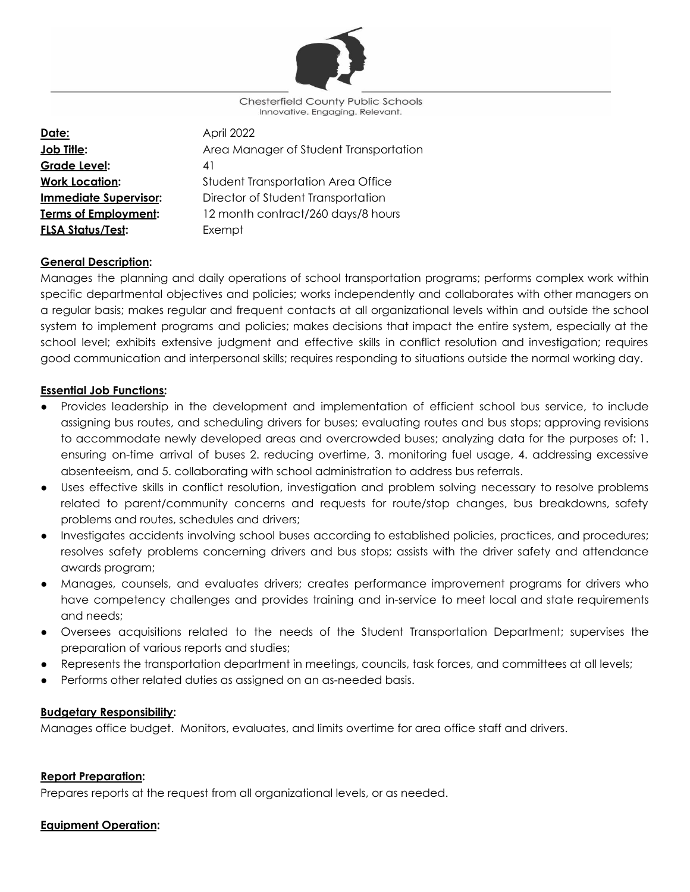

**Chesterfield County Public Schools** Innovative. Engaging. Relevant.

| April 2022                                |
|-------------------------------------------|
| Area Manager of Student Transportation    |
| 41                                        |
| <b>Student Transportation Area Office</b> |
| Director of Student Transportation        |
| 12 month contract/260 days/8 hours        |
| Exempt                                    |
|                                           |

## **General Description:**

Manages the planning and daily operations of school transportation programs; performs complex work within specific departmental objectives and policies; works independently and collaborates with other managers on a regular basis; makes regular and frequent contacts at all organizational levels within and outside the school system to implement programs and policies; makes decisions that impact the entire system, especially at the school level; exhibits extensive judgment and effective skills in conflict resolution and investigation; requires good communication and interpersonal skills; requires responding to situations outside the normal working day.

### **Essential Job Functions:**

- Provides leadership in the development and implementation of efficient school bus service, to include assigning bus routes, and scheduling drivers for buses; evaluating routes and bus stops; approving revisions to accommodate newly developed areas and overcrowded buses; analyzing data for the purposes of: 1. ensuring on-time arrival of buses 2. reducing overtime, 3. monitoring fuel usage, 4. addressing excessive absenteeism, and 5. collaborating with school administration to address bus referrals.
- Uses effective skills in conflict resolution, investigation and problem solving necessary to resolve problems related to parent/community concerns and requests for route/stop changes, bus breakdowns, safety problems and routes, schedules and drivers;
- Investigates accidents involving school buses according to established policies, practices, and procedures; resolves safety problems concerning drivers and bus stops; assists with the driver safety and attendance awards program;
- Manages, counsels, and evaluates drivers; creates performance improvement programs for drivers who have competency challenges and provides training and in-service to meet local and state requirements and needs;
- Oversees acquisitions related to the needs of the Student Transportation Department; supervises the preparation of various reports and studies;
- Represents the transportation department in meetings, councils, task forces, and committees at all levels;
- Performs other related duties as assigned on an as-needed basis.

### **Budgetary Responsibility:**

Manages office budget. Monitors, evaluates, and limits overtime for area office staff and drivers.

### **Report Preparation:**

Prepares reports at the request from all organizational levels, or as needed.

### **Equipment Operation:**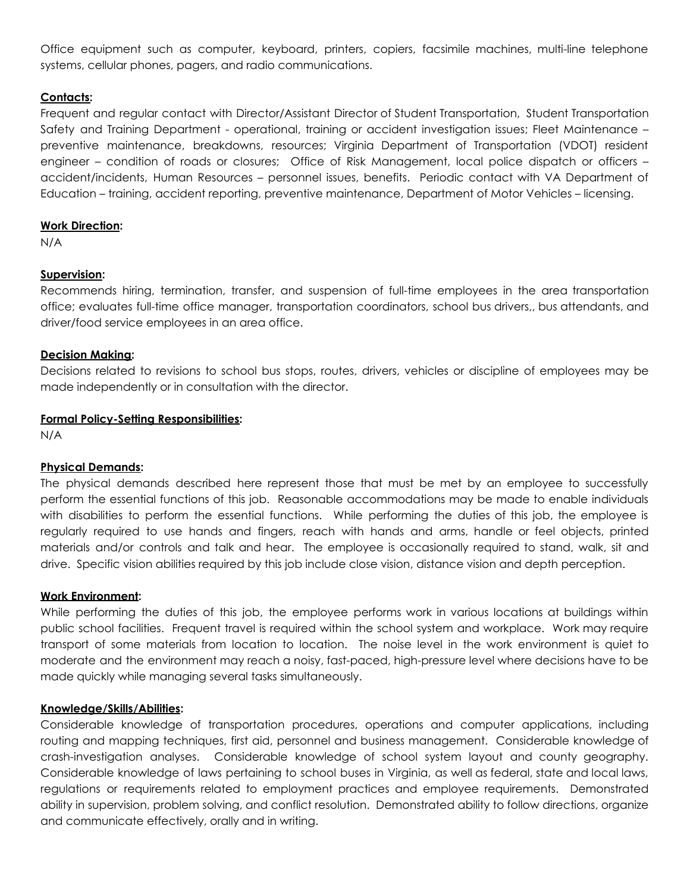Office equipment such as computer, keyboard, printers, copiers, facsimile machines, multi-line telephone systems, cellular phones, pagers, and radio communications.

### **Contacts:**

Frequent and regular contact with Director/Assistant Director of Student Transportation, Student Transportation Safety and Training Department - operational, training or accident investigation issues; Fleet Maintenance – preventive maintenance, breakdowns, resources; Virginia Department of Transportation (VDOT) resident engineer – condition of roads or closures; Office of Risk Management, local police dispatch or officers – accident/incidents, Human Resources – personnel issues, benefits. Periodic contact with VA Department of Education – training, accident reporting, preventive maintenance, Department of Motor Vehicles – licensing.

### **Work Direction:**

N/A

## **Supervision:**

Recommends hiring, termination, transfer, and suspension of full-time employees in the area transportation office; evaluates full-time office manager, transportation coordinators, school bus drivers,, bus attendants, and driver/food service employees in an area office.

## **Decision Making:**

Decisions related to revisions to school bus stops, routes, drivers, vehicles or discipline of employees may be made independently or in consultation with the director.

## **Formal Policy-Setting Responsibilities:**

N/A

# **Physical Demands:**

The physical demands described here represent those that must be met by an employee to successfully perform the essential functions of this job. Reasonable accommodations may be made to enable individuals with disabilities to perform the essential functions. While performing the duties of this job, the employee is regularly required to use hands and fingers, reach with hands and arms, handle or feel objects, printed materials and/or controls and talk and hear. The employee is occasionally required to stand, walk, sit and drive. Specific vision abilities required by this job include close vision, distance vision and depth perception.

### **Work Environment:**

While performing the duties of this job, the employee performs work in various locations at buildings within public school facilities. Frequent travel is required within the school system and workplace. Work may require transport of some materials from location to location. The noise level in the work environment is quiet to moderate and the environment may reach a noisy, fast-paced, high-pressure level where decisions have to be made quickly while managing several tasks simultaneously.

### **Knowledge/Skills/Abilities:**

Considerable knowledge of transportation procedures, operations and computer applications, including routing and mapping techniques, first aid, personnel and business management. Considerable knowledge of crash-investigation analyses. Considerable knowledge of school system layout and county geography. Considerable knowledge of laws pertaining to school buses in Virginia, as well as federal, state and local laws, regulations or requirements related to employment practices and employee requirements. Demonstrated ability in supervision, problem solving, and conflict resolution. Demonstrated ability to follow directions, organize and communicate effectively, orally and in writing.